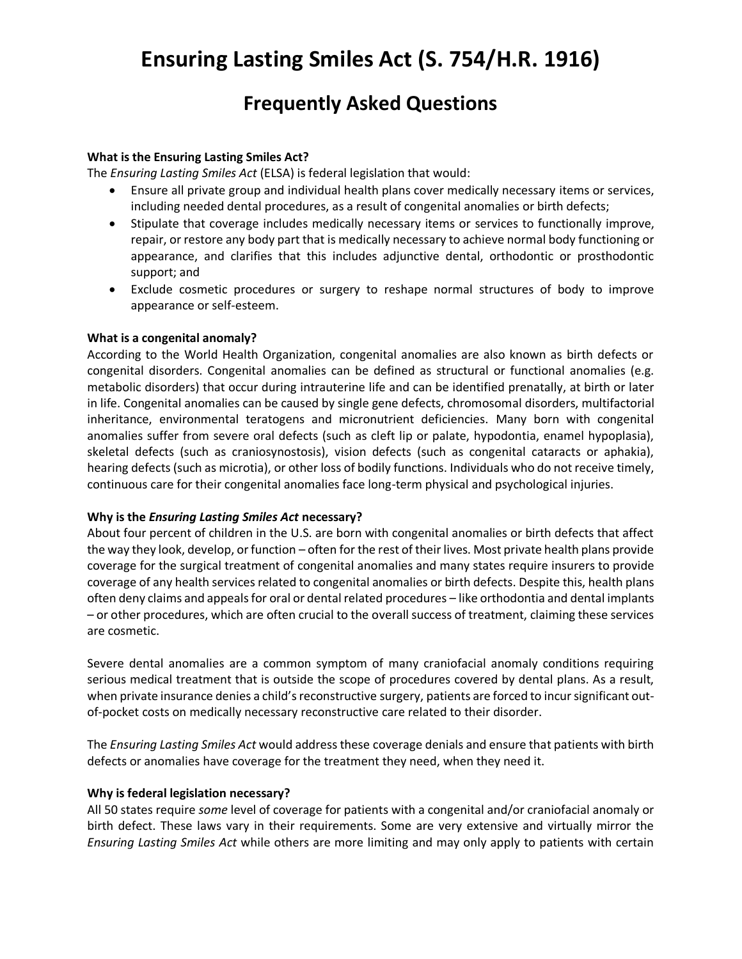# **Ensuring Lasting Smiles Act (S. 754/H.R. 1916)**

# **Frequently Asked Questions**

# **What is the Ensuring Lasting Smiles Act?**

The *Ensuring Lasting Smiles Act* (ELSA) is federal legislation that would:

- Ensure all private group and individual health plans cover medically necessary items or services, including needed dental procedures, as a result of congenital anomalies or birth defects;
- Stipulate that coverage includes medically necessary items or services to functionally improve, repair, or restore any body part that is medically necessary to achieve normal body functioning or appearance, and clarifies that this includes adjunctive dental, orthodontic or prosthodontic support; and
- Exclude cosmetic procedures or surgery to reshape normal structures of body to improve appearance or self-esteem.

### **What is a congenital anomaly?**

According to the World Health Organization, congenital anomalies are also known as birth defects or congenital disorders. Congenital anomalies can be defined as structural or functional anomalies (e.g. metabolic disorders) that occur during intrauterine life and can be identified prenatally, at birth or later in life. Congenital anomalies can be caused by single gene defects, chromosomal disorders, multifactorial inheritance, environmental teratogens and micronutrient deficiencies. Many born with congenital anomalies suffer from severe oral defects (such as cleft lip or palate, hypodontia, enamel hypoplasia), skeletal defects (such as craniosynostosis), vision defects (such as congenital cataracts or aphakia), hearing defects (such as microtia), or other loss of bodily functions. Individuals who do not receive timely, continuous care for their congenital anomalies face long-term physical and psychological injuries.

#### **Why is the** *Ensuring Lasting Smiles Act* **necessary?**

About four percent of children in the U.S. are born with congenital anomalies or birth defects that affect the way they look, develop, or function – often for the rest of their lives. Most private health plans provide coverage for the surgical treatment of congenital anomalies and many states require insurers to provide coverage of any health services related to congenital anomalies or birth defects. Despite this, health plans often deny claims and appeals for oral or dental related procedures – like orthodontia and dental implants – or other procedures, which are often crucial to the overall success of treatment, claiming these services are cosmetic.

Severe dental anomalies are a common symptom of many craniofacial anomaly conditions requiring serious medical treatment that is outside the scope of procedures covered by dental plans. As a result, when private insurance denies a child's reconstructive surgery, patients are forced to incur significant outof-pocket costs on medically necessary reconstructive care related to their disorder.

The *Ensuring Lasting Smiles Act* would address these coverage denials and ensure that patients with birth defects or anomalies have coverage for the treatment they need, when they need it.

#### **Why is federal legislation necessary?**

All 50 states require *some* level of coverage for patients with a congenital and/or craniofacial anomaly or birth defect. These laws vary in their requirements. Some are very extensive and virtually mirror the *Ensuring Lasting Smiles Act* while others are more limiting and may only apply to patients with certain